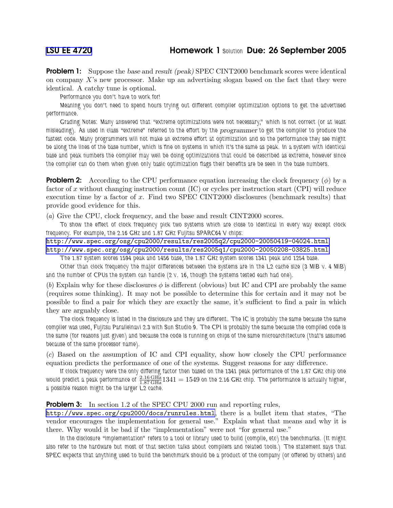**Problem 1:** Suppose the base and result (peak) SPEC CINT2000 benchmark scores were identical on company  $X$ 's new processor. Make up an advertising slogan based on the fact that they were identical. A catchy tune is optional.

Performance you don't have to work for!

Meaning you don't need to spend hours trying out different compiler optimization options to get the advertised performance.

Grading Notes: Many answered that "extreme optimizations were not necessary," which is not correct (or at least misleading). As used in class "extreme" referred to the effort by the *programmer* to get the compiler to produce the fastest code. Many programmers will not make an extreme effort at optimization and so the performance they see might be along the lines of the base number, which is fine on systems in which it's the same as peak. In a system with identical base and peak numbers the compiler may well be doing optimizations that could be described as extreme, however since the compiler can do them when given only basic optimization flags their benefits are be seen in the base numbers.

**Problem 2:** According to the CPU performance equation increasing the clock frequency  $(\phi)$  by a factor of x without changing instruction count (IC) or cycles per instruction start (CPI) will reduce execution time by a factor of x. Find two SPEC CINT2000 disclosures (benchmark results) that provide good evidence for this.

(a) Give the CPU, clock frequency, and the base and result CINT2000 scores.

To show the effect of clock frequency pick two systems which are close to identical in every way except clock frequency. For example, the 2.16 GHz and 1.87 GHz Fujitsu SPARC64 V chips:

<http://www.spec.org/osg/cpu2000/results/res2005q2/cpu2000-20050419-04024.html> <http://www.spec.org/osg/cpu2000/results/res2005q1/cpu2000-20050208-03825.html>

The 1.87 system scores 1594 peak and 1456 base, the 1.87 GHz system scores 1341 peak and 1254 base.

Other than clock frequency the major differences between the systems are in the L2 cache size (3 MiB v. 4 MiB) and the number of CPUs the system can handle (2 v. 16, though the systems tested each had one).

(b) Explain why for these disclosures  $\phi$  is different (obvious) but IC and CPI are probably the same (requires some thinking). It may not be possible to determine this for certain and it may not be possible to find a pair for which they are exactly the same, it's sufficient to find a pair in which they are arguably close.

The clock frequency is listed in the disclosure and they are different. The IC is probably the same because the same compiler was used, Fujitsu Parallelnavi 2.3 with Sun Studio 9. The CPI is probably the same because the compiled code is the same (for reasons just given) and because the code is running on chips of the same microarchitecture (that's assumed because of the same processor name).

(c) Based on the assumption of IC and CPI equality, show how closely the CPU performance equation predicts the performance of one of the systems. Suggest reasons for any difference.

If clock frequency were the only differing factor then based on the 1341 peak performance of the 1.87 GHz chip one would predict a peak performance of  $\frac{2.16\,\rm GHz}{1.87\,\rm GHz}$ 1341  $=1549$  on the 2.16 GHz chip. The performance is actually higher, a possible reason might be the larger L2 cache.

## **Problem 3:** In section 1.2 of the SPEC CPU 2000 run and reporting rules,

<http://www.spec.org/cpu2000/docs/runrules.html>, there is a bullet item that states, "The vendor encourages the implementation for general use." Explain what that means and why it is there. Why would it be bad if the "implementation" were not "for general use."

In the disclosure "implementation" refers to a tool or library used to build (compile, etc) the benchmarks. (It might also refer to the hardware but most of that section talks about compilers and related tools.) The statement says that SPEC expects that anything used to build the benchmark should be a product of the company (or offered by others) and